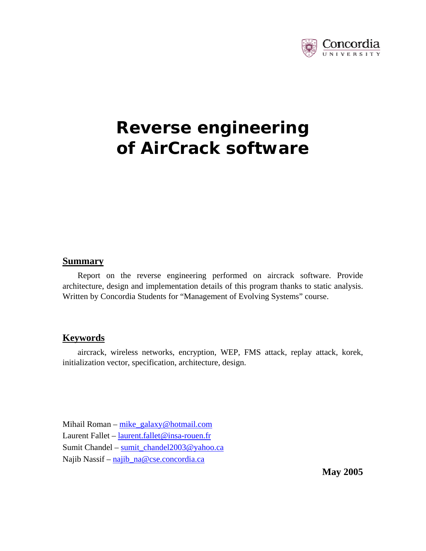

# **Reverse engineering of AirCrack software**

#### **Summary**

Report on the reverse engineering performed on aircrack software. Provide architecture, design and implementation details of this program thanks to static analysis. Written by Concordia Students for "Management of Evolving Systems" course.

#### **Keywords**

aircrack, wireless networks, encryption, WEP, FMS attack, replay attack, korek, initialization vector, specification, architecture, design.

Mihail Roman – mike\_galaxy@hotmail.com Laurent Fallet – laurent.fallet@insa-rouen.fr Sumit Chandel – sumit\_chandel2003@yahoo.ca Najib Nassif – najib\_na@cse.concordia.ca

**May 2005**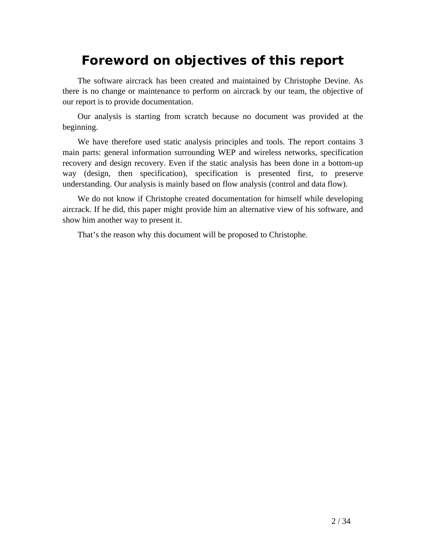# **Foreword on objectives of this report**

The software aircrack has been created and maintained by Christophe Devine. As there is no change or maintenance to perform on aircrack by our team, the objective of our report is to provide documentation.

Our analysis is starting from scratch because no document was provided at the beginning.

We have therefore used static analysis principles and tools. The report contains 3 main parts: general information surrounding WEP and wireless networks, specification recovery and design recovery. Even if the static analysis has been done in a bottom-up way (design, then specification), specification is presented first, to preserve understanding. Our analysis is mainly based on flow analysis (control and data flow).

We do not know if Christophe created documentation for himself while developing aircrack. If he did, this paper might provide him an alternative view of his software, and show him another way to present it.

That's the reason why this document will be proposed to Christophe.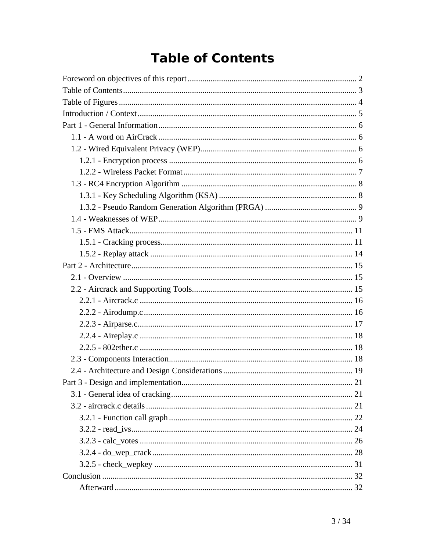# **Table of Contents**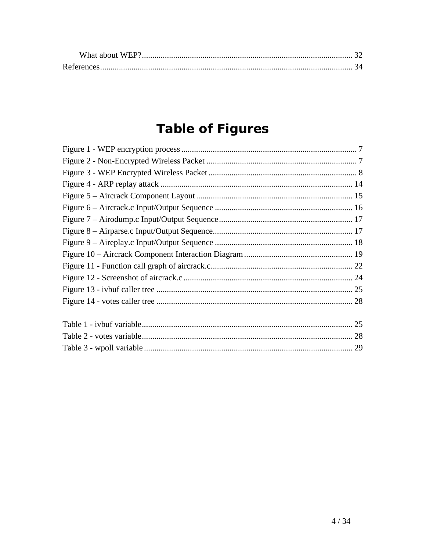# **Table of Figures**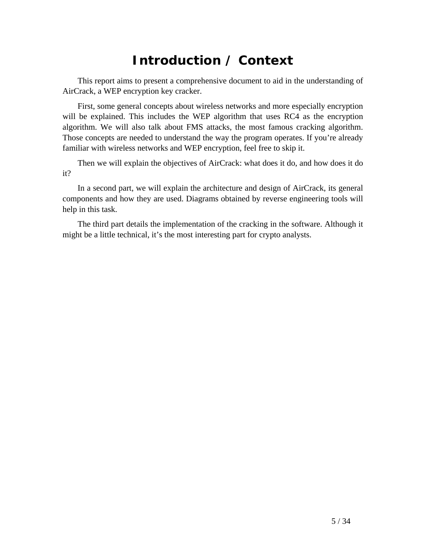# **Introduction / Context**

This report aims to present a comprehensive document to aid in the understanding of AirCrack, a WEP encryption key cracker.

First, some general concepts about wireless networks and more especially encryption will be explained. This includes the WEP algorithm that uses RC4 as the encryption algorithm. We will also talk about FMS attacks, the most famous cracking algorithm. Those concepts are needed to understand the way the program operates. If you're already familiar with wireless networks and WEP encryption, feel free to skip it.

Then we will explain the objectives of AirCrack: what does it do, and how does it do it?

In a second part, we will explain the architecture and design of AirCrack, its general components and how they are used. Diagrams obtained by reverse engineering tools will help in this task.

The third part details the implementation of the cracking in the software. Although it might be a little technical, it's the most interesting part for crypto analysts.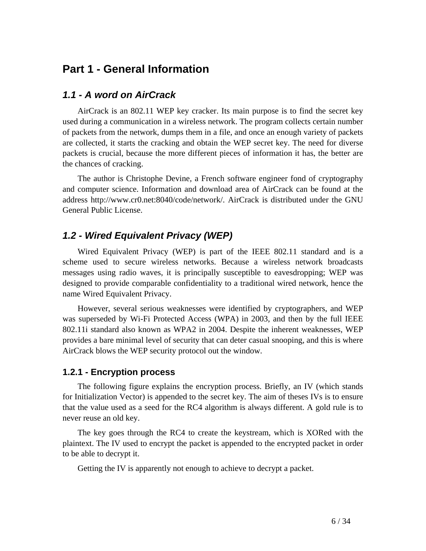# **Part 1 - General Information**

### *1.1 - A word on AirCrack*

AirCrack is an 802.11 WEP key cracker. Its main purpose is to find the secret key used during a communication in a wireless network. The program collects certain number of packets from the network, dumps them in a file, and once an enough variety of packets are collected, it starts the cracking and obtain the WEP secret key. The need for diverse packets is crucial, because the more different pieces of information it has, the better are the chances of cracking.

The author is Christophe Devine, a French software engineer fond of cryptography and computer science. Information and download area of AirCrack can be found at the address http://www.cr0.net:8040/code/network/. AirCrack is distributed under the GNU General Public License.

## *1.2 - Wired Equivalent Privacy (WEP)*

Wired Equivalent Privacy (WEP) is part of the IEEE 802.11 standard and is a scheme used to secure wireless networks. Because a wireless network broadcasts messages using radio waves, it is principally susceptible to eavesdropping; WEP was designed to provide comparable confidentiality to a traditional wired network, hence the name Wired Equivalent Privacy.

However, several serious weaknesses were identified by cryptographers, and WEP was superseded by Wi-Fi Protected Access (WPA) in 2003, and then by the full IEEE 802.11i standard also known as WPA2 in 2004. Despite the inherent weaknesses, WEP provides a bare minimal level of security that can deter casual snooping, and this is where AirCrack blows the WEP security protocol out the window.

### **1.2.1 - Encryption process**

The following figure explains the encryption process. Briefly, an IV (which stands for Initialization Vector) is appended to the secret key. The aim of theses IVs is to ensure that the value used as a seed for the RC4 algorithm is always different. A gold rule is to never reuse an old key.

The key goes through the RC4 to create the keystream, which is XORed with the plaintext. The IV used to encrypt the packet is appended to the encrypted packet in order to be able to decrypt it.

Getting the IV is apparently not enough to achieve to decrypt a packet.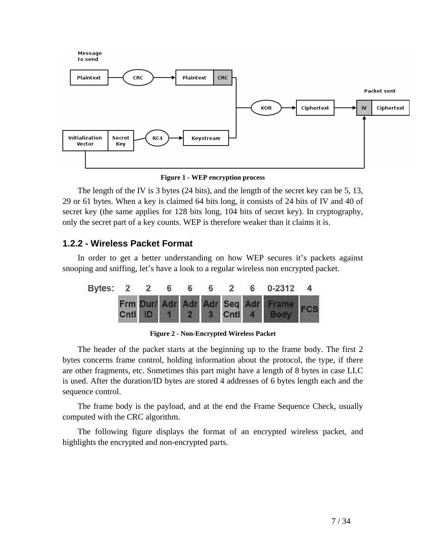

**Figure 1 - WEP encryption process** 

The length of the IV is 3 bytes (24 bits), and the length of the secret key can be 5, 13, 29 or 61 bytes. When a key is claimed 64 bits long, it consists of 24 bits of IV and 40 of secret key (the same applies for 128 bits long, 104 bits of secret key). In cryptography, only the secret part of a key counts. WEP is therefore weaker than it claims it is.

### **1.2.2 - Wireless Packet Format**

In order to get a better understanding on how WEP secures it's packets against snooping and sniffing, let's have a look to a regular wireless non encrypted packet.



**Figure 2 - Non-Encrypted Wireless Packet** 

The header of the packet starts at the beginning up to the frame body. The first 2 bytes concerns frame control, holding information about the protocol, the type, if there are other fragments, etc. Sometimes this part might have a length of 8 bytes in case LLC is used. After the duration/ID bytes are stored 4 addresses of 6 bytes length each and the sequence control.

The frame body is the payload, and at the end the Frame Sequence Check, usually computed with the CRC algorithm.

The following figure displays the format of an encrypted wireless packet, and highlights the encrypted and non-encrypted parts.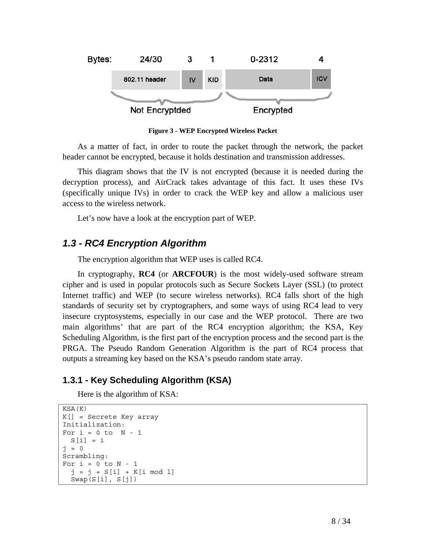

**Figure 3 - WEP Encrypted Wireless Packet**

As a matter of fact, in order to route the packet through the network, the packet header cannot be encrypted, because it holds destination and transmission addresses.

This diagram shows that the IV is not encrypted (because it is needed during the decryption process), and AirCrack takes advantage of this fact. It uses these IVs (specifically unique IVs) in order to crack the WEP key and allow a malicious user access to the wireless network.

Let's now have a look at the encryption part of WEP.

### *1.3 - RC4 Encryption Algorithm*

The encryption algorithm that WEP uses is called RC4.

In cryptography, **RC4** (or **ARCFOUR**) is the most widely-used software stream cipher and is used in popular protocols such as Secure Sockets Layer (SSL) (to protect Internet traffic) and WEP (to secure wireless networks). RC4 falls short of the high standards of security set by cryptographers, and some ways of using RC4 lead to very insecure cryptosystems, especially in our case and the WEP protocol. There are two main algorithms' that are part of the RC4 encryption algorithm; the KSA, Key Scheduling Algorithm, is the first part of the encryption process and the second part is the PRGA. The Pseudo Random Generation Algorithm is the part of RC4 process that outputs a streaming key based on the KSA's pseudo random state array.

### **1.3.1 - Key Scheduling Algorithm (KSA)**

Here is the algorithm of KSA:

```
KSA(K) 
K[] = Secrete Key array 
Initialization: 
For i = 0 to N - 1S[i] = ij = 0Scrambling: 
For i = 0 to N - 1j = j + S[i] + K[i \mod 1] Swap(S[i], S[j])
```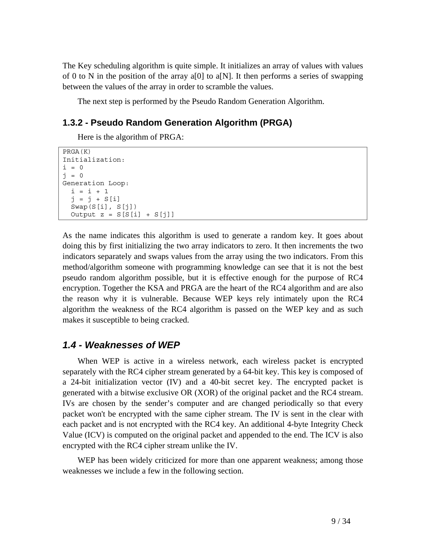The Key scheduling algorithm is quite simple. It initializes an array of values with values of 0 to N in the position of the array a[0] to a[N]. It then performs a series of swapping between the values of the array in order to scramble the values.

The next step is performed by the Pseudo Random Generation Algorithm.

### **1.3.2 - Pseudo Random Generation Algorithm (PRGA)**

Here is the algorithm of PRGA:

```
PRGA(K) 
Initialization: 
i = 0j = 0Generation Loop: 
 i = i + 1j = j + S[i]Swap(S[i], S[j])Output z = S[S[i] + S[j]]
```
As the name indicates this algorithm is used to generate a random key. It goes about doing this by first initializing the two array indicators to zero. It then increments the two indicators separately and swaps values from the array using the two indicators. From this method/algorithm someone with programming knowledge can see that it is not the best pseudo random algorithm possible, but it is effective enough for the purpose of RC4 encryption. Together the KSA and PRGA are the heart of the RC4 algorithm and are also the reason why it is vulnerable. Because WEP keys rely intimately upon the RC4 algorithm the weakness of the RC4 algorithm is passed on the WEP key and as such makes it susceptible to being cracked.

### *1.4 - Weaknesses of WEP*

When WEP is active in a wireless network, each wireless packet is encrypted separately with the RC4 cipher stream generated by a 64-bit key. This key is composed of a 24-bit initialization vector (IV) and a 40-bit secret key. The encrypted packet is generated with a bitwise exclusive OR (XOR) of the original packet and the RC4 stream. IVs are chosen by the sender's computer and are changed periodically so that every packet won't be encrypted with the same cipher stream. The IV is sent in the clear with each packet and is not encrypted with the RC4 key. An additional 4-byte Integrity Check Value (ICV) is computed on the original packet and appended to the end. The ICV is also encrypted with the RC4 cipher stream unlike the IV.

WEP has been widely criticized for more than one apparent weakness; among those weaknesses we include a few in the following section.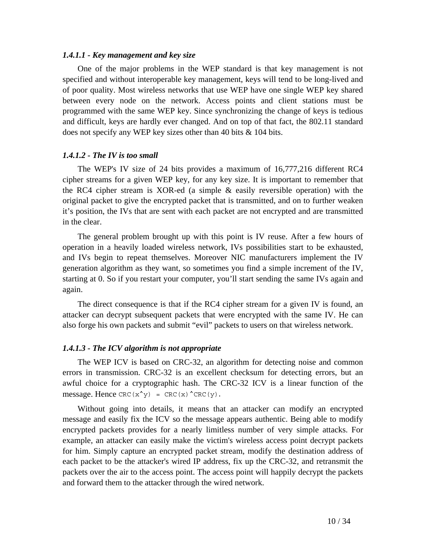#### *1.4.1.1 - Key management and key size*

One of the major problems in the WEP standard is that key management is not specified and without interoperable key management, keys will tend to be long-lived and of poor quality. Most wireless networks that use WEP have one single WEP key shared between every node on the network. Access points and client stations must be programmed with the same WEP key. Since synchronizing the change of keys is tedious and difficult, keys are hardly ever changed. And on top of that fact, the 802.11 standard does not specify any WEP key sizes other than 40 bits & 104 bits.

#### *1.4.1.2 - The IV is too small*

The WEP's IV size of 24 bits provides a maximum of 16,777,216 different RC4 cipher streams for a given WEP key, for any key size. It is important to remember that the RC4 cipher stream is XOR-ed (a simple & easily reversible operation) with the original packet to give the encrypted packet that is transmitted, and on to further weaken it's position, the IVs that are sent with each packet are not encrypted and are transmitted in the clear.

The general problem brought up with this point is IV reuse. After a few hours of operation in a heavily loaded wireless network, IVs possibilities start to be exhausted, and IVs begin to repeat themselves. Moreover NIC manufacturers implement the IV generation algorithm as they want, so sometimes you find a simple increment of the IV, starting at 0. So if you restart your computer, you'll start sending the same IVs again and again.

The direct consequence is that if the RC4 cipher stream for a given IV is found, an attacker can decrypt subsequent packets that were encrypted with the same IV. He can also forge his own packets and submit "evil" packets to users on that wireless network.

#### *1.4.1.3 - The ICV algorithm is not appropriate*

The WEP ICV is based on CRC-32, an algorithm for detecting noise and common errors in transmission. CRC-32 is an excellent checksum for detecting errors, but an awful choice for a cryptographic hash. The CRC-32 ICV is a linear function of the message. Hence  $CRC(x^y) = CRC(x)^CCRC(y)$ .

Without going into details, it means that an attacker can modify an encrypted message and easily fix the ICV so the message appears authentic. Being able to modify encrypted packets provides for a nearly limitless number of very simple attacks. For example, an attacker can easily make the victim's wireless access point decrypt packets for him. Simply capture an encrypted packet stream, modify the destination address of each packet to be the attacker's wired IP address, fix up the CRC-32, and retransmit the packets over the air to the access point. The access point will happily decrypt the packets and forward them to the attacker through the wired network.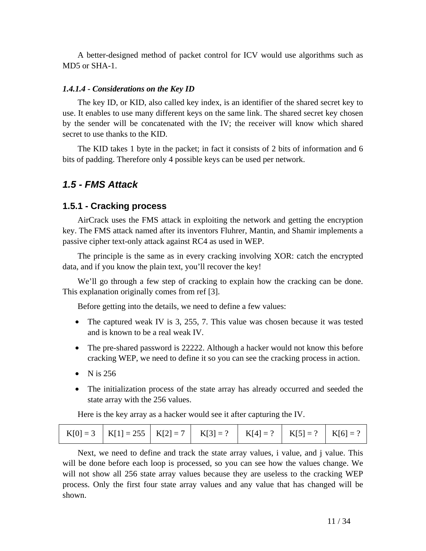A better-designed method of packet control for ICV would use algorithms such as MD5 or SHA-1.

#### *1.4.1.4 - Considerations on the Key ID*

The key ID, or KID, also called key index, is an identifier of the shared secret key to use. It enables to use many different keys on the same link. The shared secret key chosen by the sender will be concatenated with the IV; the receiver will know which shared secret to use thanks to the KID.

The KID takes 1 byte in the packet; in fact it consists of 2 bits of information and 6 bits of padding. Therefore only 4 possible keys can be used per network.

#### *1.5 - FMS Attack*

#### **1.5.1 - Cracking process**

AirCrack uses the FMS attack in exploiting the network and getting the encryption key. The FMS attack named after its inventors Fluhrer, Mantin, and Shamir implements a passive cipher text-only attack against RC4 as used in WEP.

The principle is the same as in every cracking involving XOR: catch the encrypted data, and if you know the plain text, you'll recover the key!

We'll go through a few step of cracking to explain how the cracking can be done. This explanation originally comes from ref [3].

Before getting into the details, we need to define a few values:

- The captured weak IV is 3, 255, 7. This value was chosen because it was tested and is known to be a real weak IV.
- The pre-shared password is 22222. Although a hacker would not know this before cracking WEP, we need to define it so you can see the cracking process in action.
- N is  $256$
- The initialization process of the state array has already occurred and seeded the state array with the 256 values.

Here is the key array as a hacker would see it after capturing the IV.

|  | $K[0] = 3$ $K[1] = 255$ $K[2] = 7$ $K[3] = ?$ $K[4] = ?$ $K[5] = ?$ $K[6] = ?$ |  |  |  |  |  |
|--|--------------------------------------------------------------------------------|--|--|--|--|--|
|--|--------------------------------------------------------------------------------|--|--|--|--|--|

Next, we need to define and track the state array values, i value, and j value. This will be done before each loop is processed, so you can see how the values change. We will not show all 256 state array values because they are useless to the cracking WEP process. Only the first four state array values and any value that has changed will be shown.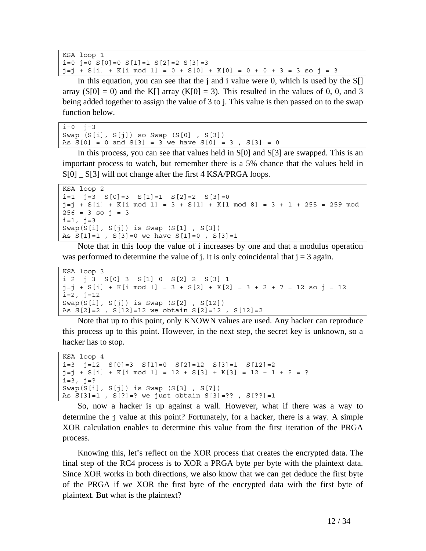```
KSA loop 1 
i=0 j=0 S[0]=0 S[1]=1 S[2]=2 S[3]=3j=j + S[i] + K[i \mod 1] = 0 + S[0] + K[0] = 0 + 0 + 3 = 3 so j = 3
```
In this equation, you can see that the j and i value were 0, which is used by the  $S[\cdot]$ array  $(S[0] = 0)$  and the K[] array  $(K[0] = 3)$ . This resulted in the values of 0, 0, and 3 being added together to assign the value of 3 to j. This value is then passed on to the swap function below.

```
i=0 i=3Swap (S[i], S[j]) so Swap (S[0] , S[3]) 
As S[0] = 0 and S[3] = 3 we have S[0] = 3, S[3] = 0
```
In this process, you can see that values held in  $S[0]$  and  $S[3]$  are swapped. This is an important process to watch, but remember there is a 5% chance that the values held in S[0] S[3] will not change after the first 4 KSA/PRGA loops.

```
KSA loop 2 
i=1 j=3 S[0]=3 S[1]=1 S[2]=2 S[3]=0j=j + S[i] + K[i \mod 1] = 3 + S[i] + K[i \mod 8] = 3 + 1 + 255 = 259 \mod 8256 = 3 so j = 3i=1, j=3Swap(S[i], S[j]) is Swap (S[1] , S[3]) 
As S[1]=1 , S[3]=0 we have S[1]=0 , S[3]=1
```
Note that in this loop the value of i increases by one and that a modulus operation was performed to determine the value of j. It is only coincidental that  $j = 3$  again.

```
KSA loop 3 
i=2 j=3 S[0]=3 S[1]=0 S[2]=2 S[3]=1j=j + S[i] + K[i mod l] = 3 + S[2] + K[2] = 3 + 2 + 7 = 12 so j = 12 
i=2, j=12Swap(S[i], S[j]) is Swap (S[2] , S[12]) 
As S[2]=2 , S[12]=12 we obtain S[2]=12 , S[12]=2
```
Note that up to this point, only KNOWN values are used. Any hacker can reproduce this process up to this point. However, in the next step, the secret key is unknown, so a hacker has to stop.

```
KSA loop 4 
i=3 j=12 S[0]=3 S[1]=0 S[2]=12 S[3]=1 S[12]=2j=j + S[i] + K[i \mod 1] = 12 + S[3] + K[3] = 12 + 1 + ? = ?i=3, j=?Swap(S[i], S[j]) is Swap (S[3] , S[?]) 
As S[3]=1 , S[?]=? we just obtain S[3]=?? , S[??]=1
```
So, now a hacker is up against a wall. However, what if there was a way to determine the j value at this point? Fortunately, for a hacker, there is a way. A simple XOR calculation enables to determine this value from the first iteration of the PRGA process.

Knowing this, let's reflect on the XOR process that creates the encrypted data. The final step of the RC4 process is to XOR a PRGA byte per byte with the plaintext data. Since XOR works in both directions, we also know that we can get deduce the first byte of the PRGA if we XOR the first byte of the encrypted data with the first byte of plaintext. But what is the plaintext?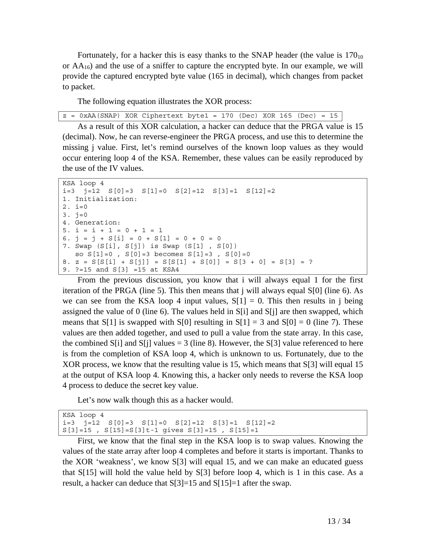Fortunately, for a hacker this is easy thanks to the SNAP header (the value is  $170_{10}$ ) or  $AA_{16}$ ) and the use of a sniffer to capture the encrypted byte. In our example, we will provide the captured encrypted byte value (165 in decimal), which changes from packet to packet.

The following equation illustrates the XOR process:

As a result of this XOR calculation, a hacker can deduce that the PRGA value is 15 (decimal). Now, he can reverse-engineer the PRGA process, and use this to determine the missing j value. First, let's remind ourselves of the known loop values as they would occur entering loop 4 of the KSA. Remember, these values can be easily reproduced by the use of the IV values.

```
KSA loop 4 
i=3 j=12 S[0]=3 S[1]=0 S[2]=12 S[3]=1 S[12]=21. Initialization: 
2. i=03. j=04. Generation: 
5. i = i + 1 = 0 + 1 = 16. j = j + S[i] = 0 + S[1] = 0 + 0 = 07. Swap (S[i], S[j]) is Swap (S[1] , S[0]) 
   so S[1]=0 , S[0]=3 becomes S[1]=3 , S[0]=08. z = S[S[i] + S[j]] = S[S[1] + S[0]] = S[3 + 0] = S[3] = ?9. ?=15 and S[3] =15 at KSA4
```
From the previous discussion, you know that i will always equal 1 for the first iteration of the PRGA (line 5). This then means that j will always equal S[0] (line 6). As we can see from the KSA loop 4 input values,  $S[1] = 0$ . This then results in j being assigned the value of 0 (line 6). The values held in S[i] and S[j] are then swapped, which means that S[1] is swapped with S[0] resulting in  $S[1] = 3$  and  $S[0] = 0$  (line 7). These values are then added together, and used to pull a value from the state array. In this case, the combined S[i] and S[j] values = 3 (line 8). However, the S[3] value referenced to here is from the completion of KSA loop 4, which is unknown to us. Fortunately, due to the XOR process, we know that the resulting value is 15, which means that S[3] will equal 15 at the output of KSA loop 4. Knowing this, a hacker only needs to reverse the KSA loop 4 process to deduce the secret key value.

Let's now walk though this as a hacker would.

```
KSA loop 4 
i=3 j=12 S[0]=3 S[1]=0 S[2]=12 S[3]=1 S[12]=2S[3]=15 , S[15]=S[3]t-1 gives S[3]=15 , S[15]=1
```
First, we know that the final step in the KSA loop is to swap values. Knowing the values of the state array after loop 4 completes and before it starts is important. Thanks to the XOR 'weakness', we know S[3] will equal 15, and we can make an educated guess that  $S[15]$  will hold the value held by  $S[3]$  before loop 4, which is 1 in this case. As a result, a hacker can deduce that  $S[3]=15$  and  $S[15]=1$  after the swap.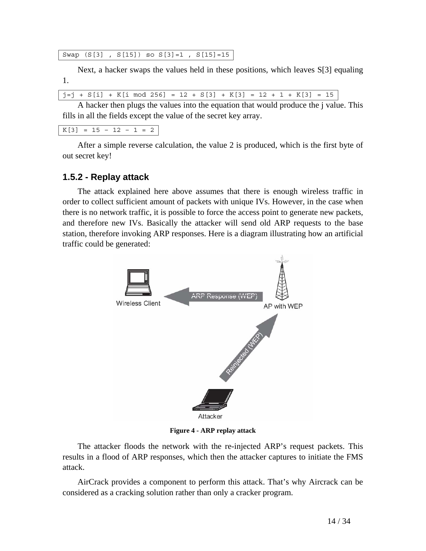Swap (S[3] , S[15]) so S[3]=1 , S[15]=15

Next, a hacker swaps the values held in these positions, which leaves S[3] equaling 1.

 $j=j + S[i] + K[i \mod 256] = 12 + S[3] + K[3] = 12 + 1 + K[3] = 15$ 

A hacker then plugs the values into the equation that would produce the j value. This fills in all the fields except the value of the secret key array.

 $K[3] = 15 - 12 - 1 = 2$ 

After a simple reverse calculation, the value 2 is produced, which is the first byte of out secret key!

#### **1.5.2 - Replay attack**

The attack explained here above assumes that there is enough wireless traffic in order to collect sufficient amount of packets with unique IVs. However, in the case when there is no network traffic, it is possible to force the access point to generate new packets, and therefore new IVs. Basically the attacker will send old ARP requests to the base station, therefore invoking ARP responses. Here is a diagram illustrating how an artificial traffic could be generated:



**Figure 4 - ARP replay attack**

The attacker floods the network with the re-injected ARP's request packets. This results in a flood of ARP responses, which then the attacker captures to initiate the FMS attack.

AirCrack provides a component to perform this attack. That's why Aircrack can be considered as a cracking solution rather than only a cracker program.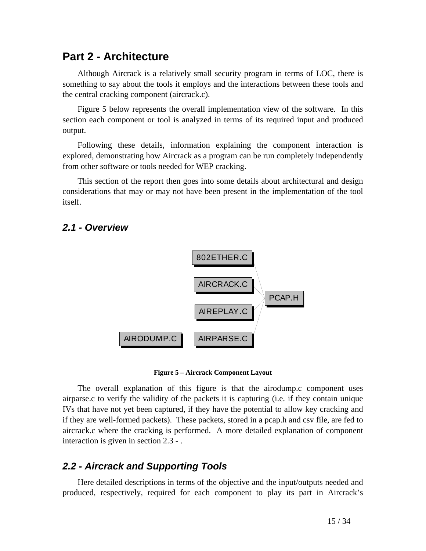## **Part 2 - Architecture**

Although Aircrack is a relatively small security program in terms of LOC, there is something to say about the tools it employs and the interactions between these tools and the central cracking component (aircrack.c).

Figure 5 below represents the overall implementation view of the software. In this section each component or tool is analyzed in terms of its required input and produced output.

Following these details, information explaining the component interaction is explored, demonstrating how Aircrack as a program can be run completely independently from other software or tools needed for WEP cracking.

This section of the report then goes into some details about architectural and design considerations that may or may not have been present in the implementation of the tool itself.

### *2.1 - Overview*



**Figure 5 – Aircrack Component Layout** 

The overall explanation of this figure is that the airodump.c component uses airparse.c to verify the validity of the packets it is capturing (i.e. if they contain unique IVs that have not yet been captured, if they have the potential to allow key cracking and if they are well-formed packets). These packets, stored in a pcap.h and csv file, are fed to aircrack.c where the cracking is performed. A more detailed explanation of component interaction is given in section 2.3 - .

### *2.2 - Aircrack and Supporting Tools*

Here detailed descriptions in terms of the objective and the input/outputs needed and produced, respectively, required for each component to play its part in Aircrack's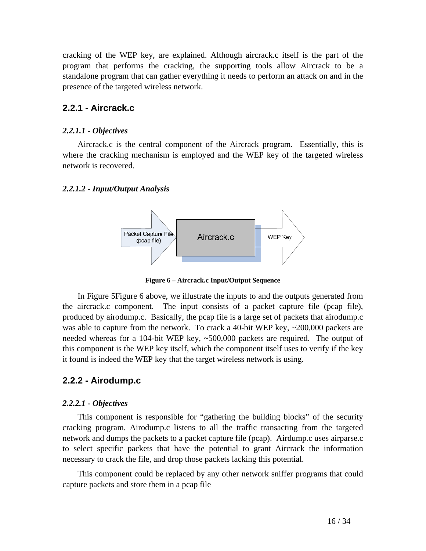cracking of the WEP key, are explained. Although aircrack.c itself is the part of the program that performs the cracking, the supporting tools allow Aircrack to be a standalone program that can gather everything it needs to perform an attack on and in the presence of the targeted wireless network.

### **2.2.1 - Aircrack.c**

#### *2.2.1.1 - Objectives*

Aircrack.c is the central component of the Aircrack program. Essentially, this is where the cracking mechanism is employed and the WEP key of the targeted wireless network is recovered.

#### *2.2.1.2 - Input/Output Analysis*



**Figure 6 – Aircrack.c Input/Output Sequence** 

In Figure 5Figure 6 above, we illustrate the inputs to and the outputs generated from the aircrack.c component. The input consists of a packet capture file (pcap file), produced by airodump.c. Basically, the pcap file is a large set of packets that airodump.c was able to capture from the network. To crack a 40-bit WEP key, ~200,000 packets are needed whereas for a 104-bit WEP key, ~500,000 packets are required. The output of this component is the WEP key itself, which the component itself uses to verify if the key it found is indeed the WEP key that the target wireless network is using.

### **2.2.2 - Airodump.c**

#### *2.2.2.1 - Objectives*

This component is responsible for "gathering the building blocks" of the security cracking program. Airodump.c listens to all the traffic transacting from the targeted network and dumps the packets to a packet capture file (pcap). Airdump.c uses airparse.c to select specific packets that have the potential to grant Aircrack the information necessary to crack the file, and drop those packets lacking this potential.

This component could be replaced by any other network sniffer programs that could capture packets and store them in a pcap file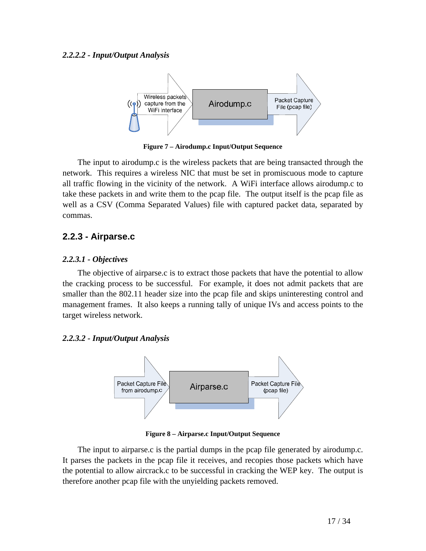

**Figure 7 – Airodump.c Input/Output Sequence** 

The input to airodump.c is the wireless packets that are being transacted through the network. This requires a wireless NIC that must be set in promiscuous mode to capture all traffic flowing in the vicinity of the network. A WiFi interface allows airodump.c to take these packets in and write them to the pcap file. The output itself is the pcap file as well as a CSV (Comma Separated Values) file with captured packet data, separated by commas.

#### **2.2.3 - Airparse.c**

#### *2.2.3.1 - Objectives*

The objective of airparse.c is to extract those packets that have the potential to allow the cracking process to be successful. For example, it does not admit packets that are smaller than the 802.11 header size into the pcap file and skips uninteresting control and management frames. It also keeps a running tally of unique IVs and access points to the target wireless network.

#### *2.2.3.2 - Input/Output Analysis*



**Figure 8 – Airparse.c Input/Output Sequence** 

The input to airparse.c is the partial dumps in the pcap file generated by airodump.c. It parses the packets in the pcap file it receives, and recopies those packets which have the potential to allow aircrack.c to be successful in cracking the WEP key. The output is therefore another pcap file with the unyielding packets removed.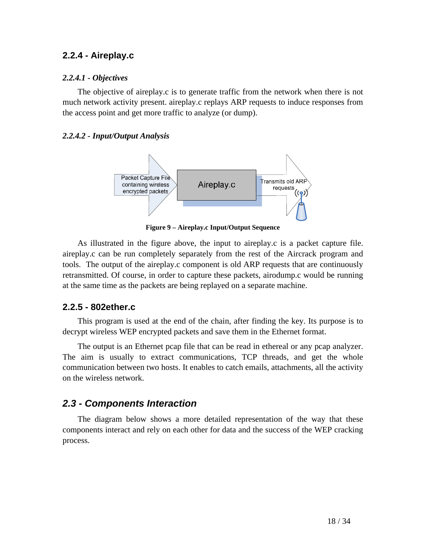### **2.2.4 - Aireplay.c**

#### *2.2.4.1 - Objectives*

The objective of aireplay.c is to generate traffic from the network when there is not much network activity present. aireplay.c replays ARP requests to induce responses from the access point and get more traffic to analyze (or dump).

#### *2.2.4.2 - Input/Output Analysis*



**Figure 9 – Aireplay.c Input/Output Sequence** 

As illustrated in the figure above, the input to aireplay.c is a packet capture file. aireplay.c can be run completely separately from the rest of the Aircrack program and tools. The output of the aireplay.c component is old ARP requests that are continuously retransmitted. Of course, in order to capture these packets, airodump.c would be running at the same time as the packets are being replayed on a separate machine.

#### **2.2.5 - 802ether.c**

This program is used at the end of the chain, after finding the key. Its purpose is to decrypt wireless WEP encrypted packets and save them in the Ethernet format.

The output is an Ethernet pcap file that can be read in ethereal or any pcap analyzer. The aim is usually to extract communications, TCP threads, and get the whole communication between two hosts. It enables to catch emails, attachments, all the activity on the wireless network.

## *2.3 - Components Interaction*

The diagram below shows a more detailed representation of the way that these components interact and rely on each other for data and the success of the WEP cracking process.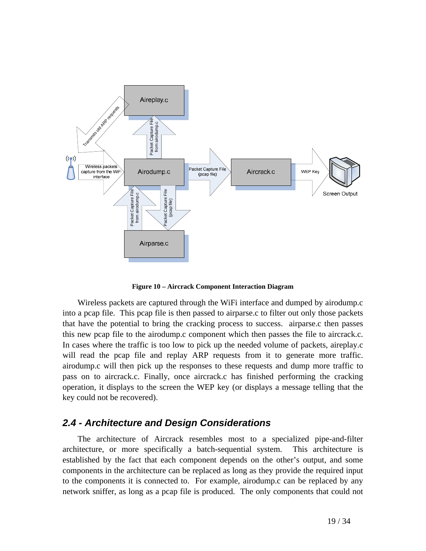

**Figure 10 – Aircrack Component Interaction Diagram** 

Wireless packets are captured through the WiFi interface and dumped by airodump.c into a pcap file. This pcap file is then passed to airparse.c to filter out only those packets that have the potential to bring the cracking process to success. airparse.c then passes this new pcap file to the airodump.c component which then passes the file to aircrack.c. In cases where the traffic is too low to pick up the needed volume of packets, aireplay.c will read the pcap file and replay ARP requests from it to generate more traffic. airodump.c will then pick up the responses to these requests and dump more traffic to pass on to aircrack.c. Finally, once aircrack.c has finished performing the cracking operation, it displays to the screen the WEP key (or displays a message telling that the key could not be recovered).

### *2.4 - Architecture and Design Considerations*

The architecture of Aircrack resembles most to a specialized pipe-and-filter architecture, or more specifically a batch-sequential system. This architecture is established by the fact that each component depends on the other's output, and some components in the architecture can be replaced as long as they provide the required input to the components it is connected to. For example, airodump.c can be replaced by any network sniffer, as long as a pcap file is produced. The only components that could not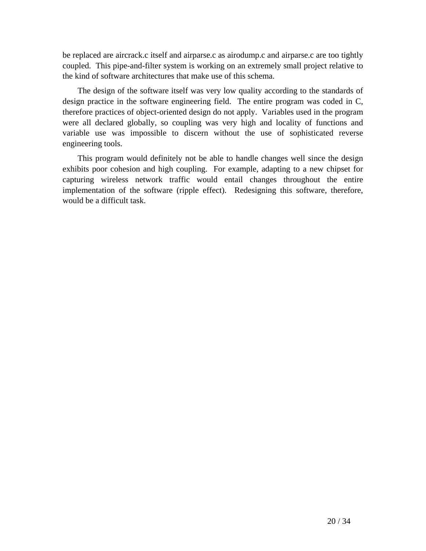be replaced are aircrack.c itself and airparse.c as airodump.c and airparse.c are too tightly coupled. This pipe-and-filter system is working on an extremely small project relative to the kind of software architectures that make use of this schema.

The design of the software itself was very low quality according to the standards of design practice in the software engineering field. The entire program was coded in C, therefore practices of object-oriented design do not apply. Variables used in the program were all declared globally, so coupling was very high and locality of functions and variable use was impossible to discern without the use of sophisticated reverse engineering tools.

This program would definitely not be able to handle changes well since the design exhibits poor cohesion and high coupling. For example, adapting to a new chipset for capturing wireless network traffic would entail changes throughout the entire implementation of the software (ripple effect). Redesigning this software, therefore, would be a difficult task.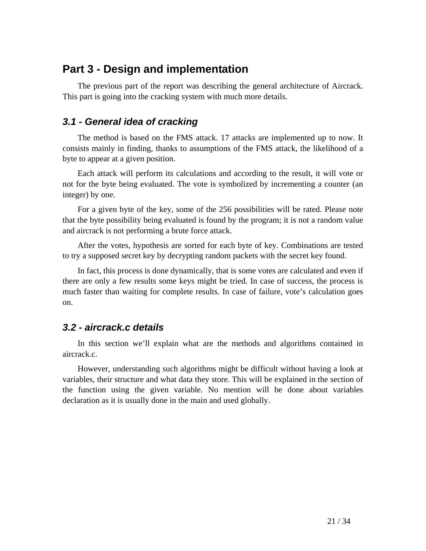# **Part 3 - Design and implementation**

The previous part of the report was describing the general architecture of Aircrack. This part is going into the cracking system with much more details.

## *3.1 - General idea of cracking*

The method is based on the FMS attack. 17 attacks are implemented up to now. It consists mainly in finding, thanks to assumptions of the FMS attack, the likelihood of a byte to appear at a given position.

Each attack will perform its calculations and according to the result, it will vote or not for the byte being evaluated. The vote is symbolized by incrementing a counter (an integer) by one.

For a given byte of the key, some of the 256 possibilities will be rated. Please note that the byte possibility being evaluated is found by the program; it is not a random value and aircrack is not performing a brute force attack.

After the votes, hypothesis are sorted for each byte of key. Combinations are tested to try a supposed secret key by decrypting random packets with the secret key found.

In fact, this process is done dynamically, that is some votes are calculated and even if there are only a few results some keys might be tried. In case of success, the process is much faster than waiting for complete results. In case of failure, vote's calculation goes on.

## *3.2 - aircrack.c details*

In this section we'll explain what are the methods and algorithms contained in aircrack.c.

However, understanding such algorithms might be difficult without having a look at variables, their structure and what data they store. This will be explained in the section of the function using the given variable. No mention will be done about variables declaration as it is usually done in the main and used globally.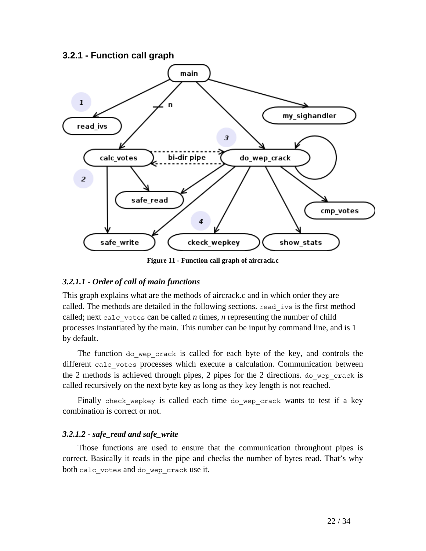#### **3.2.1 - Function call graph**



**Figure 11 - Function call graph of aircrack.c** 

#### *3.2.1.1 - Order of call of main functions*

This graph explains what are the methods of aircrack.c and in which order they are called. The methods are detailed in the following sections. read\_ivs is the first method called; next calc votes can be called  $n$  times,  $n$  representing the number of child processes instantiated by the main. This number can be input by command line, and is 1 by default.

The function do wep crack is called for each byte of the key, and controls the different calc votes processes which execute a calculation. Communication between the 2 methods is achieved through pipes, 2 pipes for the 2 directions. do\_wep\_crack is called recursively on the next byte key as long as they key length is not reached.

Finally check wepkey is called each time do wep crack wants to test if a key combination is correct or not.

#### *3.2.1.2 - safe\_read and safe\_write*

Those functions are used to ensure that the communication throughout pipes is correct. Basically it reads in the pipe and checks the number of bytes read. That's why both calc votes and do wep crack use it.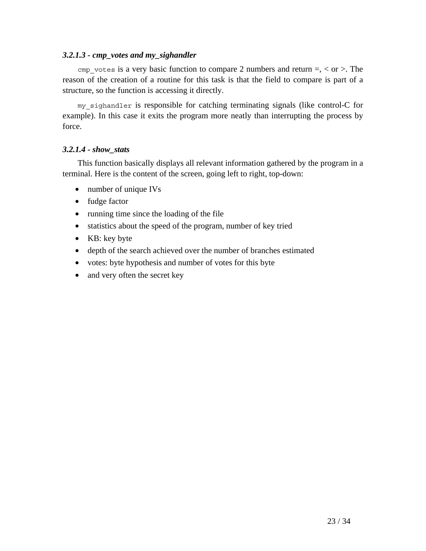#### *3.2.1.3 - cmp\_votes and my\_sighandler*

cmp votes is a very basic function to compare 2 numbers and return  $=$ ,  $\lt$  or  $>$ . The reason of the creation of a routine for this task is that the field to compare is part of a structure, so the function is accessing it directly.

my\_sighandler is responsible for catching terminating signals (like control-C for example). In this case it exits the program more neatly than interrupting the process by force.

#### *3.2.1.4 - show\_stats*

This function basically displays all relevant information gathered by the program in a terminal. Here is the content of the screen, going left to right, top-down:

- number of unique IVs
- fudge factor
- running time since the loading of the file
- statistics about the speed of the program, number of key tried
- KB: key byte
- depth of the search achieved over the number of branches estimated
- votes: byte hypothesis and number of votes for this byte
- and very often the secret key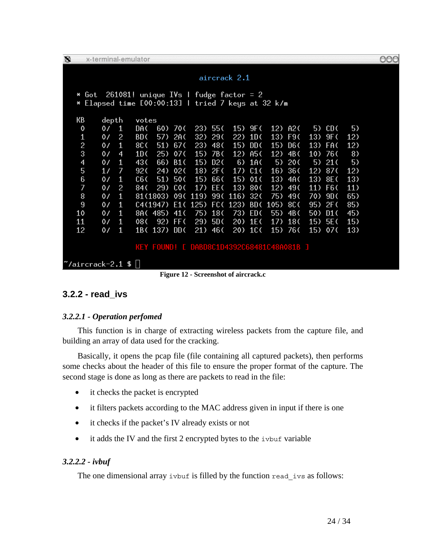| O |                                                     |                |              | x-terminal-emulator |          |                 |                                           |           |         |                 |         |         |     |                  |     |
|---|-----------------------------------------------------|----------------|--------------|---------------------|----------|-----------------|-------------------------------------------|-----------|---------|-----------------|---------|---------|-----|------------------|-----|
|   | aircrack 2.1                                        |                |              |                     |          |                 |                                           |           |         |                 |         |         |     |                  |     |
|   | $261081!$ unique IVs I fudge factor = 2<br>Got<br>× |                |              |                     |          |                 |                                           |           |         |                 |         |         |     |                  |     |
|   | Elapsed time [00:00:13]   tried 7 keys at 32 k/m    |                |              |                     |          |                 |                                           |           |         |                 |         |         |     |                  |     |
|   | КB                                                  | depth          |              | votes               |          |                 |                                           |           |         |                 |         |         |     |                  |     |
|   | 0                                                   | 0/             | $\mathbf{1}$ | DA C                | 60)      | 700             |                                           | 23) 55(   | 15)     | 9F (            |         | 12) A2( | 5)  | CD C             | 5)  |
|   | $\mathbf{1}$                                        | 0/             | 2            | BD C                | 57)      | 2A C            | 32)                                       | 290       | 22)     | 1D(             | 13)     | F9C     | 13) | 9F (             | 12) |
|   | $\overline{c}$                                      | 07             | 1            | 8C (                | 51)      | 670             | 23)                                       | 480       | 15)     | DD C            | 15)     | D6 C    | 13) | <b>FAC</b>       | 12) |
|   | 3                                                   | 0/             | 4            | 10(                 | 25)      | 07 <sub>0</sub> | 15)                                       | 7B (      |         | 12) A5(         | 12)     | 4B(     | 10) | 760              | 8)  |
|   | 4                                                   | $\mathfrak{o}$ | $\mathbf{1}$ | 430                 | 66)      | B1(             | 15)                                       | D2 (      | 6)      | 1A (            | 5)      | 20(     | 5)  | 21(              | 5)  |
|   | 5                                                   | 1/             | 7            | 92(                 | 24)      | 02 <sub>0</sub> |                                           | $18)$ 2F( |         | $17)$ C1(       | 16)     | 36 (    | 12) | 870              | 12) |
|   | 6                                                   | 0/             | $\mathbf{1}$ | C6 <sub>0</sub>     | 51)      | 500             | 15)                                       | 66 (      | 15)     | 01(             | 13)     | 4A (    | 13) | 8E (             | 13) |
|   | 7                                                   | 0/             | 2            | 84 (                | 29)      | COC             | 17)                                       | EE C      | 13)     | 800             | 12)     | 490     | 11) | F <sub>6</sub> C | 11) |
|   | 8                                                   | 0/             | 1            |                     | 81(1803) |                 | 09(119)                                   |           | 99(116) | 32 <sub>0</sub> | 75)     | 490     | 70) | 9D               | 65) |
|   | 9                                                   | $\mathfrak{o}$ | $\mathbf{1}$ |                     | C4(1947) |                 | E1(125) FC(123)                           |           |         |                 | BD(105) | 8C (    | 95) | 2F(              | 85) |
|   | 10                                                  | 0/             | $\mathbf{1}$ |                     | 8A(485)  | 41 <sup>′</sup> | 75)                                       | 18 (      | 73)     | ED (            | 55)     | 4B (    | 50) | D1()             | 45) |
|   | 11                                                  | $\mathfrak{o}$ | 1            | 080                 | 92)      | FF (            | 29)                                       | 5D C      |         | $20)$ 1E(       | 17)     | 180     | 15) | 5E (             | 15) |
|   | 12                                                  | 07             | $\mathbf{1}$ |                     | 1B(137)  | DD (            | 21)                                       | 46 (      |         | 20) 1C(         |         | 15) 76( | 15) | 07 <sub>0</sub>  | 13) |
|   |                                                     |                |              |                     |          |                 |                                           |           |         |                 |         |         |     |                  |     |
|   |                                                     |                |              |                     |          |                 | KEY FOUND! [ DABD8C1D4392C68481C48A081B ] |           |         |                 |         |         |     |                  |     |
|   | $\degree$ /aircrack-2.1 \$ $  $                     |                |              |                     |          |                 |                                           |           |         |                 |         |         |     |                  |     |

**Figure 12 - Screenshot of aircrack.c** 

## **3.2.2 - read\_ivs**

#### *3.2.2.1 - Operation perfomed*

This function is in charge of extracting wireless packets from the capture file, and building an array of data used for the cracking.

Basically, it opens the pcap file (file containing all captured packets), then performs some checks about the header of this file to ensure the proper format of the capture. The second stage is done as long as there are packets to read in the file:

- it checks the packet is encrypted
- it filters packets according to the MAC address given in input if there is one
- it checks if the packet's IV already exists or not
- it adds the IV and the first 2 encrypted bytes to the ivbuf variable

#### *3.2.2.2 - ivbuf*

The one dimensional array ivbuf is filled by the function read\_ivs as follows:

OOC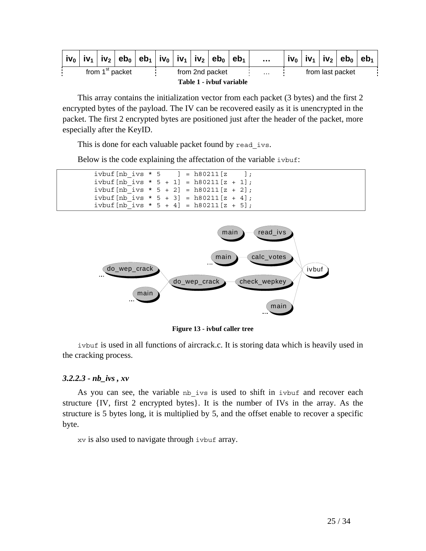|                                                |  |  |  |  |  |            | $\vert$ iv <sub>0</sub> $\vert$ iv <sub>1</sub> $\vert$ iv <sub>2</sub> $\vert$ eb <sub>0</sub> $\vert$ eb <sub>1</sub> $\vert$ iv <sub>0</sub> $\vert$ iv <sub>1</sub> $\vert$ iv <sub>2</sub> $\vert$ eb <sub>0</sub> $\vert$ eb <sub>1</sub> |  | $\cdots$         |  |  | $\mid$ iv $_{0}$ $\mid$ iv $_{1}$ $\mid$ iv $_{2}$ $\mid$ eb $_{0}$ $\mid$ eb $_{1}$ |  |
|------------------------------------------------|--|--|--|--|--|------------|-------------------------------------------------------------------------------------------------------------------------------------------------------------------------------------------------------------------------------------------------|--|------------------|--|--|--------------------------------------------------------------------------------------|--|
| from 1 <sup>st</sup> packet<br>from 2nd packet |  |  |  |  |  | $\sim 100$ |                                                                                                                                                                                                                                                 |  | from last packet |  |  |                                                                                      |  |
| Table 1 - ivbuf variable                       |  |  |  |  |  |            |                                                                                                                                                                                                                                                 |  |                  |  |  |                                                                                      |  |

This array contains the initialization vector from each packet (3 bytes) and the first 2 encrypted bytes of the payload. The IV can be recovered easily as it is unencrypted in the packet. The first 2 encrypted bytes are positioned just after the header of the packet, more especially after the KeyID.

This is done for each valuable packet found by read ivs.

Below is the code explaining the affectation of the variable ivbuf:

|  |  |  | ivbuf $[nb$ ivs * 5 $] = h80211[z \quad ]$ ; |  |
|--|--|--|----------------------------------------------|--|
|  |  |  | ivbuf $[nb$ ivs $* 5 + 1] = h80211[z + 1]$ ; |  |
|  |  |  | ivbuf $[nb$ ivs $* 5 + 2] = h80211[z + 2];$  |  |
|  |  |  | ivbuf $[nb$ ivs $* 5 + 3] = h80211[z + 4]$ ; |  |
|  |  |  | ivbuf $[nb$ ivs $* 5 + 4] = h80211[z + 5]$ ; |  |



**Figure 13 - ivbuf caller tree** 

ivbuf is used in all functions of aircrack.c. It is storing data which is heavily used in the cracking process.

#### *3.2.2.3 - nb\_ivs , xv*

As you can see, the variable nb ivs is used to shift in ivbuf and recover each structure {IV, first 2 encrypted bytes}. It is the number of IVs in the array. As the structure is 5 bytes long, it is multiplied by 5, and the offset enable to recover a specific byte.

xv is also used to navigate through ivbuf array.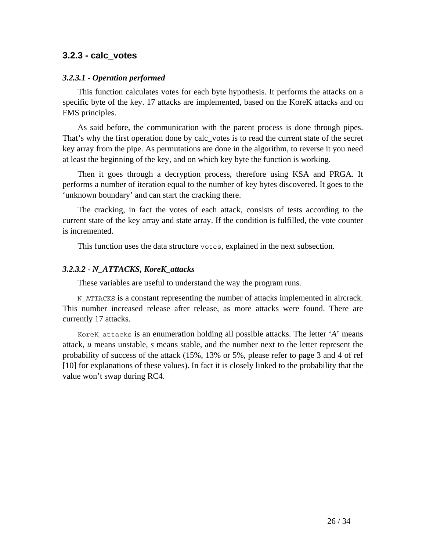#### **3.2.3 - calc\_votes**

#### *3.2.3.1 - Operation performed*

This function calculates votes for each byte hypothesis. It performs the attacks on a specific byte of the key. 17 attacks are implemented, based on the KoreK attacks and on FMS principles.

As said before, the communication with the parent process is done through pipes. That's why the first operation done by calc\_votes is to read the current state of the secret key array from the pipe. As permutations are done in the algorithm, to reverse it you need at least the beginning of the key, and on which key byte the function is working.

Then it goes through a decryption process, therefore using KSA and PRGA. It performs a number of iteration equal to the number of key bytes discovered. It goes to the 'unknown boundary' and can start the cracking there.

The cracking, in fact the votes of each attack, consists of tests according to the current state of the key array and state array. If the condition is fulfilled, the vote counter is incremented.

This function uses the data structure votes, explained in the next subsection.

#### *3.2.3.2 - N\_ATTACKS, KoreK\_attacks*

These variables are useful to understand the way the program runs.

N\_ATTACKS is a constant representing the number of attacks implemented in aircrack. This number increased release after release, as more attacks were found. There are currently 17 attacks.

KoreK\_attacks is an enumeration holding all possible attacks. The letter '*A*' means attack, *u* means unstable, *s* means stable, and the number next to the letter represent the probability of success of the attack (15%, 13% or 5%, please refer to page 3 and 4 of ref [10] for explanations of these values). In fact it is closely linked to the probability that the value won't swap during RC4.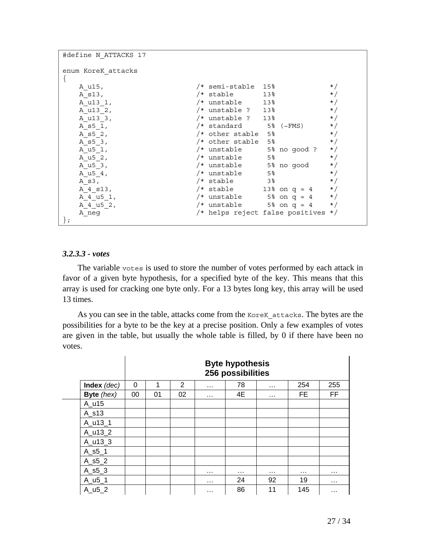| #define N ATTACKS 17 |                       |                                 |           |
|----------------------|-----------------------|---------------------------------|-----------|
| enum KoreK attacks   |                       |                                 |           |
| A u15,               | /* semi-stable        | 15%                             | $\star$ / |
| A s13,               | /* stable             | 13%                             | $\star/$  |
| A u13 1,             | /* unstable           | 13%                             | $\star/$  |
| A u13 2,             | /* unstable ? 13%     |                                 | $\star/$  |
| A u13 3,             | /* unstable ? 13%     |                                 | $\star/$  |
| A s5 1,              | /* standard 5% (~FMS) |                                 | $\star/$  |
| A s5 2,              | /* other stable 5%    |                                 | $\star/$  |
| A s5 3,              | /* other stable 5%    |                                 | $\star/$  |
| A u5 1,              |                       | $/*$ unstable 5% no qood ?      | $\star/$  |
| A u5 2,              | /* unstable           | 5 <sup>8</sup>                  | $\star/$  |
| A u5 3,              |                       | /* unstable 5% no good          | $\star/$  |
| A u5 4,              | /* unstable           | 5%                              | $\star/$  |
| A s3,                | $/*$ stable 3%        |                                 | $\star/$  |
| A 4 s13,             | /* stable             | $13\%$ on $q = 4$               | $\star/$  |
| A 4 u5 1,            |                       | $/*$ unstable 5% on q = 4       | $\star/$  |
| A 4 u5 2,            |                       | $/*$ unstable 5% on q = 4       | $\star/$  |
| A neg                |                       | /* helps reject false positives | $\star/$  |
|                      |                       |                                 |           |

#### *3.2.3.3 - votes*

The variable votes is used to store the number of votes performed by each attack in favor of a given byte hypothesis, for a specified byte of the key. This means that this array is used for cracking one byte only. For a 13 bytes long key, this array will be used 13 times.

As you can see in the table, attacks come from the KoreK attacks. The bytes are the possibilities for a byte to be the key at a precise position. Only a few examples of votes are given in the table, but usually the whole table is filled, by 0 if there have been no votes.

|                       |    | <b>Byte hypothesis</b><br>256 possibilities |    |          |          |          |     |           |  |  |  |  |  |
|-----------------------|----|---------------------------------------------|----|----------|----------|----------|-----|-----------|--|--|--|--|--|
| Index (dec)           | 0  | 1                                           | 2  | $\cdots$ | 78       | $\cdots$ | 254 | 255       |  |  |  |  |  |
| Byte (hex)            | 00 | 01                                          | 02 | $\cdots$ | 4E       | $\cdots$ | FE. | <b>FF</b> |  |  |  |  |  |
| A_u15                 |    |                                             |    |          |          |          |     |           |  |  |  |  |  |
| A s13                 |    |                                             |    |          |          |          |     |           |  |  |  |  |  |
| A u13 1               |    |                                             |    |          |          |          |     |           |  |  |  |  |  |
| A u13 2               |    |                                             |    |          |          |          |     |           |  |  |  |  |  |
| A_u13_3               |    |                                             |    |          |          |          |     |           |  |  |  |  |  |
| $A$ <sub>_S</sub> 5_1 |    |                                             |    |          |          |          |     |           |  |  |  |  |  |
| $A_55_2$              |    |                                             |    |          |          |          |     |           |  |  |  |  |  |
| $A_55_3$              |    |                                             |    | .        | $\cdots$ | $\cdots$ | .   | $\cdots$  |  |  |  |  |  |
| $A_u5_1$              |    |                                             |    | $\cdots$ | 24       | 92       | 19  | $\cdots$  |  |  |  |  |  |
| $A_1J_2$              |    |                                             |    | .        | 86       | 11       | 145 | .         |  |  |  |  |  |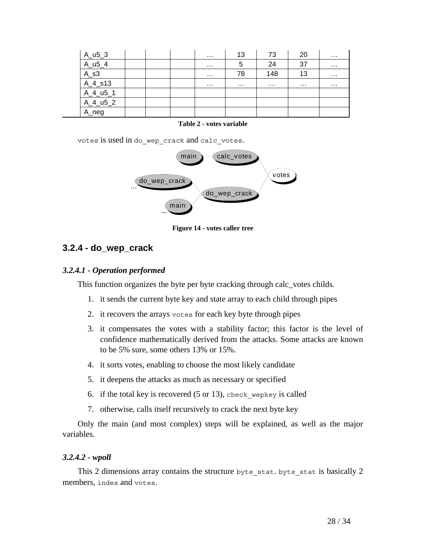| $A_u5_3$      |  | $\cdots$ | 13 | 73  | 20       | .        |
|---------------|--|----------|----|-----|----------|----------|
| $A_1 = 5 - 4$ |  | .        | 5  | 24  | 37       | $\cdots$ |
| $A_s3$        |  | .        | 78 | 148 | 13       | $\cdots$ |
| A_4_s13       |  | $\cdots$ | .  | .   | $\cdots$ | $\cdots$ |
| $A_4_us_1$    |  |          |    |     |          |          |
| $A_4_us_2$    |  |          |    |     |          |          |
| A_neg         |  |          |    |     |          |          |

#### **Table 2 - votes variable**

votes is used in do\_wep\_crack and calc\_votes.



**Figure 14 - votes caller tree** 

#### **3.2.4 - do\_wep\_crack**

#### *3.2.4.1 - Operation performed*

This function organizes the byte per byte cracking through calc\_votes childs.

- 1. it sends the current byte key and state array to each child through pipes
- 2. it recovers the arrays votes for each key byte through pipes
- 3. it compensates the votes with a stability factor; this factor is the level of confidence mathematically derived from the attacks. Some attacks are known to be 5% sure, some others 13% or 15%.
- 4. it sorts votes, enabling to choose the most likely candidate
- 5. it deepens the attacks as much as necessary or specified
- 6. if the total key is recovered  $(5 \text{ or } 13)$ , check wepkey is called
- 7. otherwise, calls itself recursively to crack the next byte key

Only the main (and most complex) steps will be explained, as well as the major variables.

#### *3.2.4.2 - wpoll*

This 2 dimensions array contains the structure byte stat. byte stat is basically 2 members, index and votes.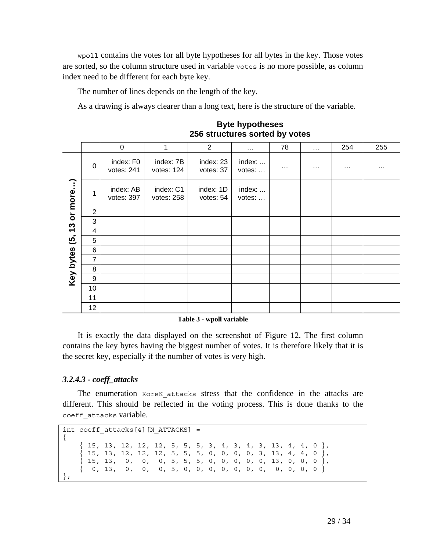wpoll contains the votes for all byte hypotheses for all bytes in the key. Those votes are sorted, so the column structure used in variable votes is no more possible, as column index need to be different for each byte key.

The number of lines depends on the length of the key.

As a drawing is always clearer than a long text, here is the structure of the variable.

|           |                |                         |                         | 256 structures sorted by votes | <b>Byte hypotheses</b> |          |               |          |          |
|-----------|----------------|-------------------------|-------------------------|--------------------------------|------------------------|----------|---------------|----------|----------|
|           |                | $\mathbf 0$             | 1                       | $\overline{2}$                 | $\cdots$               | 78       | $\sim$ $\sim$ | 254      | 255      |
|           | 0              | index: F0<br>votes: 241 | index: 7B<br>votes: 124 | index: 23<br>votes: 37         | index:<br>votes:       | $\cdots$ | .             | $\cdots$ | $\cdots$ |
| or more)  | 1              | index: AB<br>votes: 397 | index: C1<br>votes: 258 | index: 1D<br>votes: 54         | index:<br>votes:       |          |               |          |          |
|           | $\overline{2}$ |                         |                         |                                |                        |          |               |          |          |
|           | 3              |                         |                         |                                |                        |          |               |          |          |
| 13        | 4              |                         |                         |                                |                        |          |               |          |          |
| ල.        | 5              |                         |                         |                                |                        |          |               |          |          |
|           | 6              |                         |                         |                                |                        |          |               |          |          |
| Key bytes | 7              |                         |                         |                                |                        |          |               |          |          |
|           | 8              |                         |                         |                                |                        |          |               |          |          |
|           | 9              |                         |                         |                                |                        |          |               |          |          |
|           | 10             |                         |                         |                                |                        |          |               |          |          |
|           | 11             |                         |                         |                                |                        |          |               |          |          |
|           | 12             |                         |                         |                                |                        |          |               |          |          |

**Table 3 - wpoll variable** 

It is exactly the data displayed on the screenshot of Figure 12. The first column contains the key bytes having the biggest number of votes. It is therefore likely that it is the secret key, especially if the number of votes is very high.

#### *3.2.4.3 - coeff\_attacks*

The enumeration KoreK attacks stress that the confidence in the attacks are different. This should be reflected in the voting process. This is done thanks to the coeff\_attacks variable.

```
int coeff attacks[4][N ATTACKS] =
{ 
    {15, 13, 12, 12, 12, 5, 5, 5, 3, 4, 3, 4, 3, 13, 4, 4, 0}\{ 15, 13, 12, 12, 12, 5, 5, 5, 0, 0, 0, 3, 13, 4, 4, 0 \} { 15, 13, 0, 0, 0, 5, 5, 5, 0, 0, 0, 0, 0, 13, 0, 0, 0 }, 
   \{ 0, 13, 0, 0, 0, 5, 0, 0, 0, 0, 0, 0, 0, 0, 0, 0 \}};
```
 $\mathbf{I}$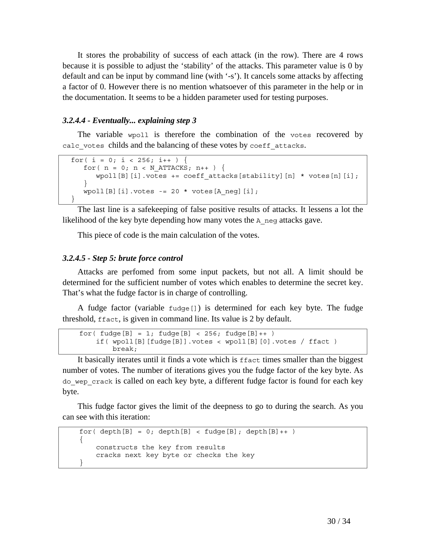It stores the probability of success of each attack (in the row). There are 4 rows because it is possible to adjust the 'stability' of the attacks. This parameter value is 0 by default and can be input by command line (with '-s'). It cancels some attacks by affecting a factor of 0. However there is no mention whatsoever of this parameter in the help or in the documentation. It seems to be a hidden parameter used for testing purposes.

#### *3.2.4.4 - Eventually... explaining step 3*

The variable wpoll is therefore the combination of the votes recovered by calc votes childs and the balancing of these votes by coeff attacks.

```
for( i = 0; i < 256; i++)for( n = 0; n < N ATTACKS; n++ ) {
       wpoll[B][i].votes += coeff attacks[stability][n] * votes[n][i];
 } 
     wpoll[B][i].votes -= 20 * votes[A_neg][i]; 
  }
```
The last line is a safekeeping of false positive results of attacks. It lessens a lot the likelihood of the key byte depending how many votes the A neg attacks gave.

This piece of code is the main calculation of the votes.

#### *3.2.4.5 - Step 5: brute force control*

Attacks are perfomed from some input packets, but not all. A limit should be determined for the sufficient number of votes which enables to determine the secret key. That's what the fudge factor is in charge of controlling.

A fudge factor (variable fudge[]) is determined for each key byte. The fudge threshold, ffact, is given in command line. Its value is 2 by default.

```
for(fudge[B] = 1; fudge[B] < 256; fudge[B]++) if( wpoll[B][fudge[B]].votes < wpoll[B][0].votes / ffact ) 
         break;
```
It basically iterates until it finds a vote which is ffact times smaller than the biggest number of votes. The number of iterations gives you the fudge factor of the key byte. As do\_wep\_crack is called on each key byte, a different fudge factor is found for each key byte.

This fudge factor gives the limit of the deepness to go to during the search. As you can see with this iteration:

```
for( depth[B] = 0; depth[B] < fudge[B]; depth[B]++)
     { 
         constructs the key from results 
        cracks next key byte or checks the key 
 }
```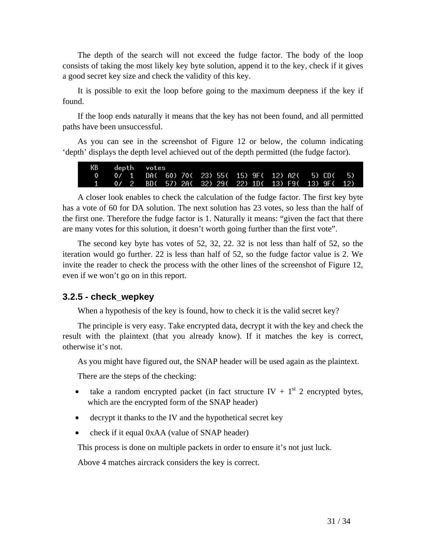The depth of the search will not exceed the fudge factor. The body of the loop consists of taking the most likely key byte solution, append it to the key, check if it gives a good secret key size and check the validity of this key.

It is possible to exit the loop before going to the maximum deepness if the key if found.

If the loop ends naturally it means that the key has not been found, and all permitted paths have been unsuccessful.

As you can see in the screenshot of Figure 12 or below, the column indicating 'depth' displays the depth level achieved out of the depth permitted (the fudge factor).

A closer look enables to check the calculation of the fudge factor. The first key byte has a vote of 60 for DA solution. The next solution has 23 votes, so less than the half of the first one. Therefore the fudge factor is 1. Naturally it means: "given the fact that there are many votes for this solution, it doesn't worth going further than the first vote".

The second key byte has votes of 52, 32, 22. 32 is not less than half of 52, so the iteration would go further. 22 is less than half of 52, so the fudge factor value is 2. We invite the reader to check the process with the other lines of the screenshot of Figure 12, even if we won't go on in this report.

#### **3.2.5 - check\_wepkey**

When a hypothesis of the key is found, how to check it is the valid secret key?

The principle is very easy. Take encrypted data, decrypt it with the key and check the result with the plaintext (that you already know). If it matches the key is correct, otherwise it's not.

As you might have figured out, the SNAP header will be used again as the plaintext.

There are the steps of the checking:

- take a random encrypted packet (in fact structure IV +  $1<sup>st</sup>$  2 encrypted bytes, which are the encrypted form of the SNAP header)
- decrypt it thanks to the IV and the hypothetical secret key
- check if it equal 0xAA (value of SNAP header)

This process is done on multiple packets in order to ensure it's not just luck.

Above 4 matches aircrack considers the key is correct.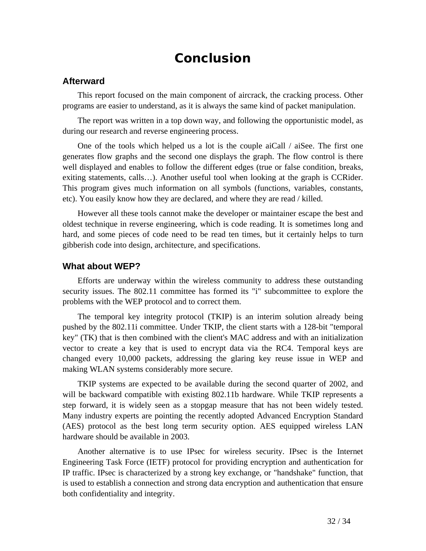# **Conclusion**

#### **Afterward**

This report focused on the main component of aircrack, the cracking process. Other programs are easier to understand, as it is always the same kind of packet manipulation.

The report was written in a top down way, and following the opportunistic model, as during our research and reverse engineering process.

One of the tools which helped us a lot is the couple aiCall / aiSee. The first one generates flow graphs and the second one displays the graph. The flow control is there well displayed and enables to follow the different edges (true or false condition, breaks, exiting statements, calls…). Another useful tool when looking at the graph is CCRider. This program gives much information on all symbols (functions, variables, constants, etc). You easily know how they are declared, and where they are read / killed.

However all these tools cannot make the developer or maintainer escape the best and oldest technique in reverse engineering, which is code reading. It is sometimes long and hard, and some pieces of code need to be read ten times, but it certainly helps to turn gibberish code into design, architecture, and specifications.

#### **What about WEP?**

Efforts are underway within the wireless community to address these outstanding security issues. The 802.11 committee has formed its "i" subcommittee to explore the problems with the WEP protocol and to correct them.

The temporal key integrity protocol (TKIP) is an interim solution already being pushed by the 802.11i committee. Under TKIP, the client starts with a 128-bit "temporal key" (TK) that is then combined with the client's MAC address and with an initialization vector to create a key that is used to encrypt data via the RC4. Temporal keys are changed every 10,000 packets, addressing the glaring key reuse issue in WEP and making WLAN systems considerably more secure.

TKIP systems are expected to be available during the second quarter of 2002, and will be backward compatible with existing 802.11b hardware. While TKIP represents a step forward, it is widely seen as a stopgap measure that has not been widely tested. Many industry experts are pointing the recently adopted Advanced Encryption Standard (AES) protocol as the best long term security option. AES equipped wireless LAN hardware should be available in 2003.

Another alternative is to use IPsec for wireless security. IPsec is the Internet Engineering Task Force (IETF) protocol for providing encryption and authentication for IP traffic. IPsec is characterized by a strong key exchange, or "handshake" function, that is used to establish a connection and strong data encryption and authentication that ensure both confidentiality and integrity.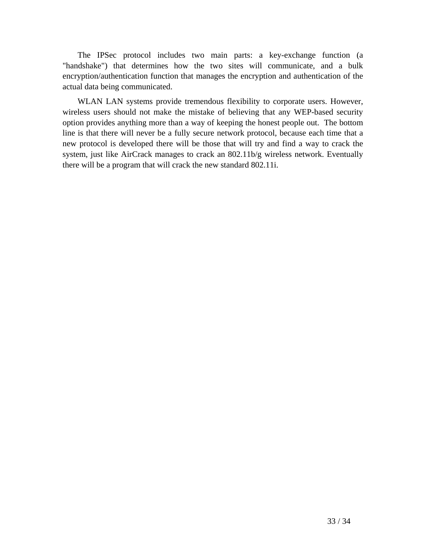The IPSec protocol includes two main parts: a key-exchange function (a "handshake") that determines how the two sites will communicate, and a bulk encryption/authentication function that manages the encryption and authentication of the actual data being communicated.

WLAN LAN systems provide tremendous flexibility to corporate users. However, wireless users should not make the mistake of believing that any WEP-based security option provides anything more than a way of keeping the honest people out. The bottom line is that there will never be a fully secure network protocol, because each time that a new protocol is developed there will be those that will try and find a way to crack the system, just like AirCrack manages to crack an 802.11b/g wireless network. Eventually there will be a program that will crack the new standard 802.11i.